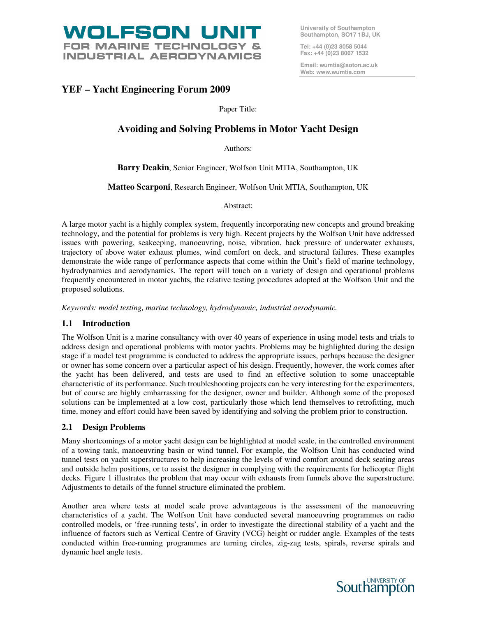

**University of Southampton Southampton, SO17 1BJ, UK** 

**Tel: +44 (0)23 8058 5044 Fax: +44 (0)23 8067 1532** 

**Email: wumtia@soton.ac.uk Web: www.wumtia.com** 

# **YEF – Yacht Engineering Forum 2009**

Paper Title:

# **Avoiding and Solving Problems in Motor Yacht Design**

Authors:

**Barry Deakin**, Senior Engineer, Wolfson Unit MTIA, Southampton, UK

**Matteo Scarponi**, Research Engineer, Wolfson Unit MTIA, Southampton, UK

Abstract:

A large motor yacht is a highly complex system, frequently incorporating new concepts and ground breaking technology, and the potential for problems is very high. Recent projects by the Wolfson Unit have addressed issues with powering, seakeeping, manoeuvring, noise, vibration, back pressure of underwater exhausts, trajectory of above water exhaust plumes, wind comfort on deck, and structural failures. These examples demonstrate the wide range of performance aspects that come within the Unit's field of marine technology, hydrodynamics and aerodynamics. The report will touch on a variety of design and operational problems frequently encountered in motor yachts, the relative testing procedures adopted at the Wolfson Unit and the proposed solutions.

*Keywords: model testing, marine technology, hydrodynamic, industrial aerodynamic.* 

## **1.1 Introduction**

The Wolfson Unit is a marine consultancy with over 40 years of experience in using model tests and trials to address design and operational problems with motor yachts. Problems may be highlighted during the design stage if a model test programme is conducted to address the appropriate issues, perhaps because the designer or owner has some concern over a particular aspect of his design. Frequently, however, the work comes after the yacht has been delivered, and tests are used to find an effective solution to some unacceptable characteristic of its performance. Such troubleshooting projects can be very interesting for the experimenters, but of course are highly embarrassing for the designer, owner and builder. Although some of the proposed solutions can be implemented at a low cost, particularly those which lend themselves to retrofitting, much time, money and effort could have been saved by identifying and solving the problem prior to construction.

## **2.1 Design Problems**

Many shortcomings of a motor yacht design can be highlighted at model scale, in the controlled environment of a towing tank, manoeuvring basin or wind tunnel. For example, the Wolfson Unit has conducted wind tunnel tests on yacht superstructures to help increasing the levels of wind comfort around deck seating areas and outside helm positions, or to assist the designer in complying with the requirements for helicopter flight decks. Figure 1 illustrates the problem that may occur with exhausts from funnels above the superstructure. Adjustments to details of the funnel structure eliminated the problem.

Another area where tests at model scale prove advantageous is the assessment of the manoeuvring characteristics of a yacht. The Wolfson Unit have conducted several manoeuvring programmes on radio controlled models, or 'free-running tests', in order to investigate the directional stability of a yacht and the influence of factors such as Vertical Centre of Gravity (VCG) height or rudder angle. Examples of the tests conducted within free-running programmes are turning circles, zig-zag tests, spirals, reverse spirals and dynamic heel angle tests.

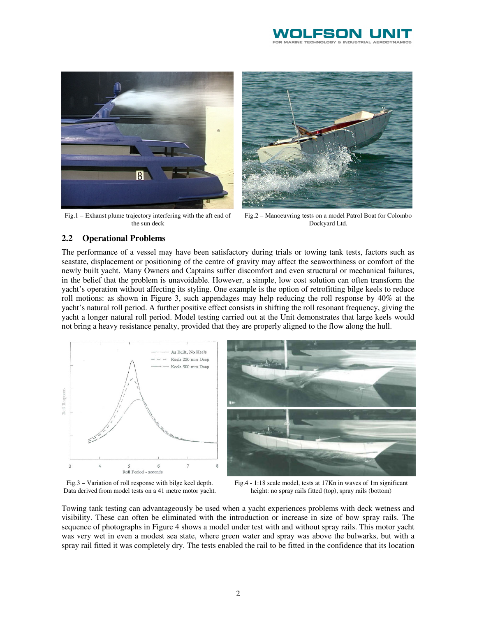



Fig.1 – Exhaust plume trajectory interfering with the aft end of the sun deck



Fig.2 – Manoeuvring tests on a model Patrol Boat for Colombo Dockyard Ltd.

#### **2.2 Operational Problems**

The performance of a vessel may have been satisfactory during trials or towing tank tests, factors such as seastate, displacement or positioning of the centre of gravity may affect the seaworthiness or comfort of the newly built yacht. Many Owners and Captains suffer discomfort and even structural or mechanical failures, in the belief that the problem is unavoidable. However, a simple, low cost solution can often transform the yacht's operation without affecting its styling. One example is the option of retrofitting bilge keels to reduce roll motions: as shown in Figure 3, such appendages may help reducing the roll response by 40% at the yacht's natural roll period. A further positive effect consists in shifting the roll resonant frequency, giving the yacht a longer natural roll period. Model testing carried out at the Unit demonstrates that large keels would not bring a heavy resistance penalty, provided that they are properly aligned to the flow along the hull.



Fig.3 – Variation of roll response with bilge keel depth. Data derived from model tests on a 41 metre motor yacht.

Fig.4 - 1:18 scale model, tests at 17Kn in waves of 1m significant height: no spray rails fitted (top), spray rails (bottom)

Towing tank testing can advantageously be used when a yacht experiences problems with deck wetness and visibility. These can often be eliminated with the introduction or increase in size of bow spray rails. The sequence of photographs in Figure 4 shows a model under test with and without spray rails. This motor yacht was very wet in even a modest sea state, where green water and spray was above the bulwarks, but with a spray rail fitted it was completely dry. The tests enabled the rail to be fitted in the confidence that its location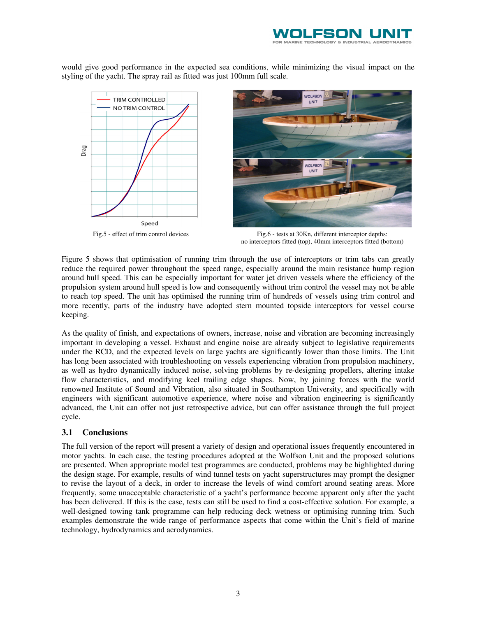

would give good performance in the expected sea conditions, while minimizing the visual impact on the styling of the yacht. The spray rail as fitted was just 100mm full scale.





Fig.5 - effect of trim control devices Fig.6 - tests at 30Kn, different interceptor depths: no interceptors fitted (top), 40mm interceptors fitted (bottom)

Figure 5 shows that optimisation of running trim through the use of interceptors or trim tabs can greatly reduce the required power throughout the speed range, especially around the main resistance hump region around hull speed. This can be especially important for water jet driven vessels where the efficiency of the propulsion system around hull speed is low and consequently without trim control the vessel may not be able to reach top speed. The unit has optimised the running trim of hundreds of vessels using trim control and more recently, parts of the industry have adopted stern mounted topside interceptors for vessel course keeping.

As the quality of finish, and expectations of owners, increase, noise and vibration are becoming increasingly important in developing a vessel. Exhaust and engine noise are already subject to legislative requirements under the RCD, and the expected levels on large yachts are significantly lower than those limits. The Unit has long been associated with troubleshooting on vessels experiencing vibration from propulsion machinery, as well as hydro dynamically induced noise, solving problems by re-designing propellers, altering intake flow characteristics, and modifying keel trailing edge shapes. Now, by joining forces with the world renowned Institute of Sound and Vibration, also situated in Southampton University, and specifically with engineers with significant automotive experience, where noise and vibration engineering is significantly advanced, the Unit can offer not just retrospective advice, but can offer assistance through the full project cycle.

### **3.1 Conclusions**

The full version of the report will present a variety of design and operational issues frequently encountered in motor yachts. In each case, the testing procedures adopted at the Wolfson Unit and the proposed solutions are presented. When appropriate model test programmes are conducted, problems may be highlighted during the design stage. For example, results of wind tunnel tests on yacht superstructures may prompt the designer to revise the layout of a deck, in order to increase the levels of wind comfort around seating areas. More frequently, some unacceptable characteristic of a yacht's performance become apparent only after the yacht has been delivered. If this is the case, tests can still be used to find a cost-effective solution. For example, a well-designed towing tank programme can help reducing deck wetness or optimising running trim. Such examples demonstrate the wide range of performance aspects that come within the Unit's field of marine technology, hydrodynamics and aerodynamics.